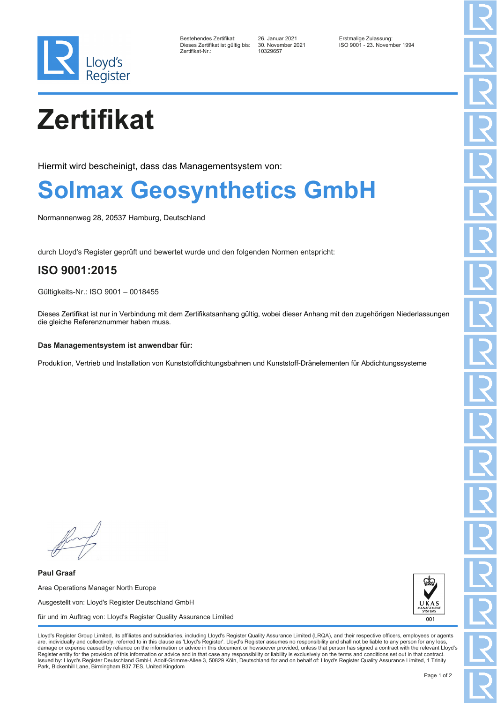

| Bestehendes Zertifikat:         |  |
|---------------------------------|--|
| Dieses Zertifikat ist gültig bi |  |
| Zertifikat-Nr.:                 |  |

Zertifikat-Nr.: 10329657

Bestehendes Zertifikat: 26. Januar 2021 Erstmalige Zulassung: Dieses Zertifikat ist gültig bis: 30. November 2021 ISO 9001 - 23. November 1994

# **Zertifikat**

Hiermit wird bescheinigt, dass das Managementsystem von:

## **Solmax Geosynthetics GmbH**

Normannenweg 28, 20537 Hamburg, Deutschland

durch Lloyd's Register geprüft und bewertet wurde und den folgenden Normen entspricht:

## **ISO 9001:2015**

Gültigkeits-Nr.: ISO 9001 – 0018455

Dieses Zertifikat ist nur in Verbindung mit dem Zertifikatsanhang gültig, wobei dieser Anhang mit den zugehörigen Niederlassungen die gleiche Referenznummer haben muss.

#### **Das Managementsystem ist anwendbar für:**

Produktion, Vertrieb und Installation von Kunststoffdichtungsbahnen und Kunststoff-Dränelementen für Abdichtungssysteme

**Paul Graaf** Area Operations Manager North Europe Ausgestellt von: Lloyd's Register Deutschland GmbH für und im Auftrag von: Lloyd's Register Quality Assurance Limited



Lloyd's Register Group Limited, its affiliates and subsidiaries, including Lloyd's Register Quality Assurance Limited (LRQA), and their respective officers, employees or agents are, individually and collectively, referred to in this clause as 'Lloyd's Register'. Lloyd's Register assumes no responsibility and shall not be liable to any person for any los damage or expense caused by reliance on the information or advice in this document or howsoever provided, unless that person has signed a contract with the relevant Lloyd's<br>Register entity for the provision of this informa Issued by: Lloyd's Register Deutschland GmbH, Adolf-Grimme-Allee 3, 50829 Köln, Deutschland for and on behalf of: Lloyd's Register Quality Assurance Limited, 1 Trinity Park, Bickenhill Lane, Birmingham B37 7ES, United Kingdom